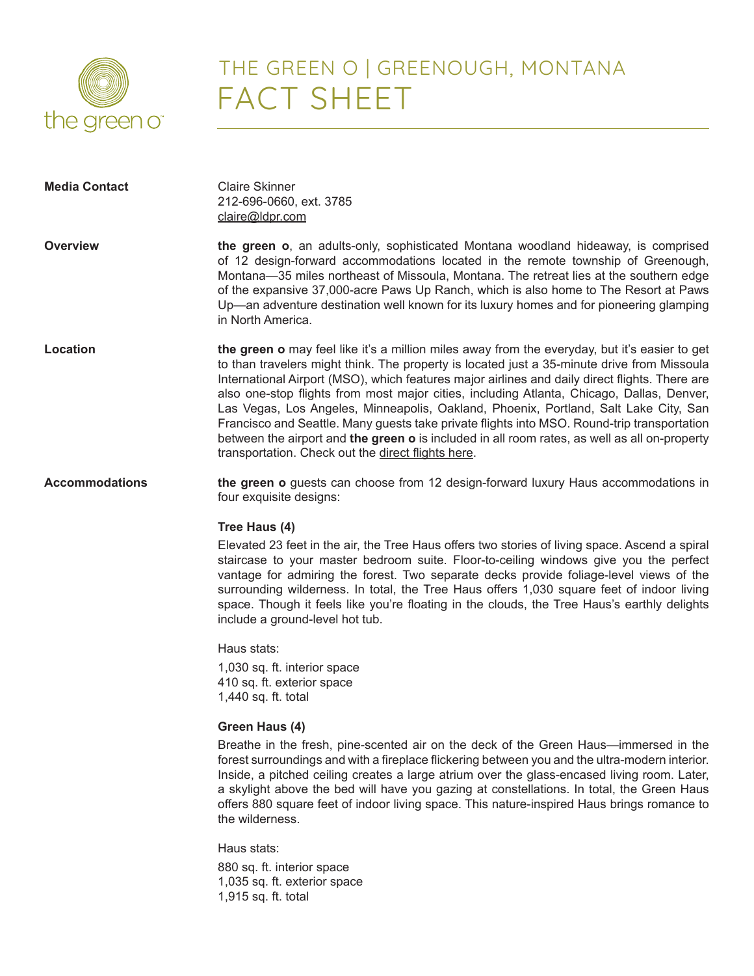

## THE GREEN O | GREENOUGH, MONTANA FACT SHEET

| <b>Media Contact</b>  | <b>Claire Skinner</b><br>212-696-0660, ext. 3785<br>claire@ldpr.com                                                                                                                                                                                                                                                                                                                                                                                                                                                                                                                                                                                                                                                                       |
|-----------------------|-------------------------------------------------------------------------------------------------------------------------------------------------------------------------------------------------------------------------------------------------------------------------------------------------------------------------------------------------------------------------------------------------------------------------------------------------------------------------------------------------------------------------------------------------------------------------------------------------------------------------------------------------------------------------------------------------------------------------------------------|
| Overview              | the green o, an adults-only, sophisticated Montana woodland hideaway, is comprised<br>of 12 design-forward accommodations located in the remote township of Greenough,<br>Montana-35 miles northeast of Missoula, Montana. The retreat lies at the southern edge<br>of the expansive 37,000-acre Paws Up Ranch, which is also home to The Resort at Paws<br>Up—an adventure destination well known for its luxury homes and for pioneering glamping<br>in North America.                                                                                                                                                                                                                                                                  |
| Location              | the green o may feel like it's a million miles away from the everyday, but it's easier to get<br>to than travelers might think. The property is located just a 35-minute drive from Missoula<br>International Airport (MSO), which features major airlines and daily direct flights. There are<br>also one-stop flights from most major cities, including Atlanta, Chicago, Dallas, Denver,<br>Las Vegas, Los Angeles, Minneapolis, Oakland, Phoenix, Portland, Salt Lake City, San<br>Francisco and Seattle. Many guests take private flights into MSO. Round-trip transportation<br>between the airport and the green o is included in all room rates, as well as all on-property<br>transportation. Check out the direct flights here. |
| <b>Accommodations</b> | the green o guests can choose from 12 design-forward luxury Haus accommodations in<br>four exquisite designs:                                                                                                                                                                                                                                                                                                                                                                                                                                                                                                                                                                                                                             |
|                       | Tree Haus (4)<br>Elevated 23 feet in the air, the Tree Haus offers two stories of living space. Ascend a spiral<br>staircase to your master bedroom suite. Floor-to-ceiling windows give you the perfect<br>vantage for admiring the forest. Two separate decks provide foliage-level views of the<br>surrounding wilderness. In total, the Tree Haus offers 1,030 square feet of indoor living<br>space. Though it feels like you're floating in the clouds, the Tree Haus's earthly delights<br>include a ground-level hot tub.                                                                                                                                                                                                         |
|                       | Haus stats:<br>1,030 sq. ft. interior space<br>410 sq. ft. exterior space<br>1,440 sq. ft. total                                                                                                                                                                                                                                                                                                                                                                                                                                                                                                                                                                                                                                          |
|                       | Green Haus (4)<br>Breathe in the fresh, pine-scented air on the deck of the Green Haus—immersed in the<br>forest surroundings and with a fireplace flickering between you and the ultra-modern interior.<br>Inside, a pitched ceiling creates a large atrium over the glass-encased living room. Later,<br>a skylight above the bed will have you gazing at constellations. In total, the Green Haus<br>offers 880 square feet of indoor living space. This nature-inspired Haus brings romance to<br>the wilderness.                                                                                                                                                                                                                     |
|                       | Haus stats:<br>880 sq. ft. interior space<br>1,035 sq. ft. exterior space<br>1,915 sq. ft. total                                                                                                                                                                                                                                                                                                                                                                                                                                                                                                                                                                                                                                          |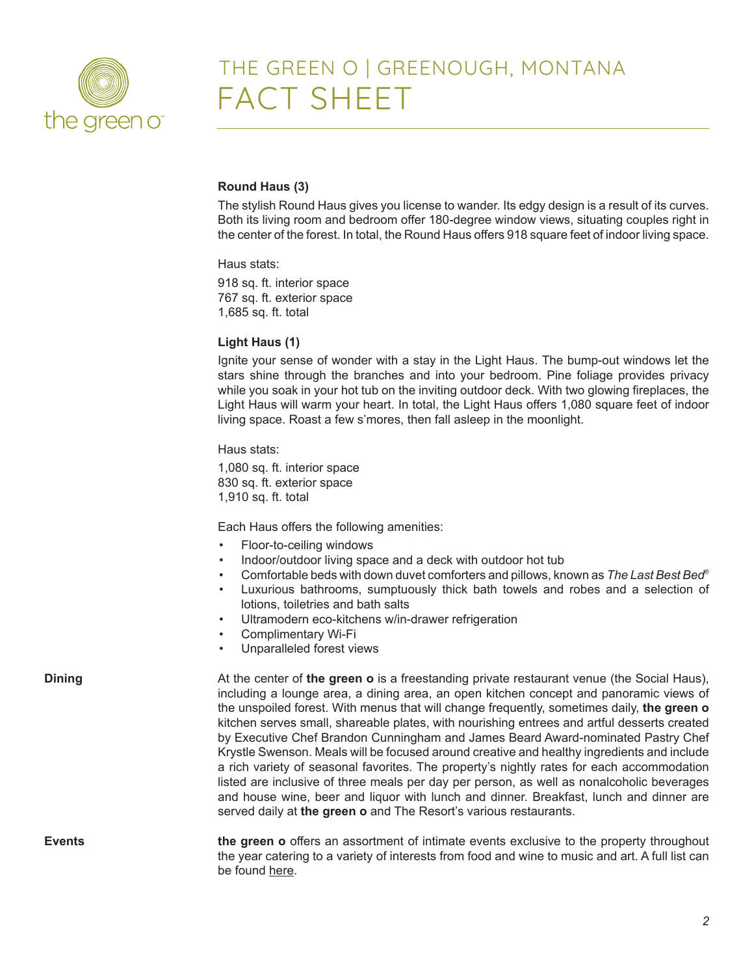

### THE GREEN O | GREENOUGH, MONTANA FACT SHEET

### **Round Haus (3)**

The stylish Round Haus gives you license to wander. Its edgy design is a result of its curves. Both its living room and bedroom offer 180-degree window views, situating couples right in the center of the forest. In total, the Round Haus offers 918 square feet of indoor living space.

Haus stats:

918 sq. ft. interior space 767 sq. ft. exterior space 1,685 sq. ft. total

### **Light Haus (1)**

Ignite your sense of wonder with a stay in the Light Haus. The bump-out windows let the stars shine through the branches and into your bedroom. Pine foliage provides privacy while you soak in your hot tub on the inviting outdoor deck. With two glowing fireplaces, the Light Haus will warm your heart. In total, the Light Haus offers 1,080 square feet of indoor living space. Roast a few s'mores, then fall asleep in the moonlight.

Haus stats:

1,080 sq. ft. interior space 830 sq. ft. exterior space 1,910 sq. ft. total

Each Haus offers the following amenities:

- Floor-to-ceiling windows
- Indoor/outdoor living space and a deck with outdoor hot tub
- Comfortable beds with down duvet comforters and pillows, known as *The Last Best Bed*®
- Luxurious bathrooms, sumptuously thick bath towels and robes and a selection of lotions, toiletries and bath salts
- Ultramodern eco-kitchens w/in-drawer refrigeration
- Complimentary Wi-Fi
- Unparalleled forest views

**Dining** and at the center of **the green o** is a freestanding private restaurant venue (the Social Haus), including a lounge area, a dining area, an open kitchen concept and panoramic views of the unspoiled forest. With menus that will change frequently, sometimes daily, **the green o** kitchen serves small, shareable plates, with nourishing entrees and artful desserts created by Executive Chef Brandon Cunningham and James Beard Award-nominated Pastry Chef Krystle Swenson. Meals will be focused around creative and healthy ingredients and include a rich variety of seasonal favorites. The property's nightly rates for each accommodation listed are inclusive of three meals per day per person, as well as nonalcoholic beverages and house wine, beer and liquor with lunch and dinner. Breakfast, lunch and dinner are served daily at **the green o** and The Resort's various restaurants.

**Events the green o** offers an assortment of intimate events exclusive to the property throughout the year catering to a variety of interests from food and wine to music and art. A full list can be found [here.](https://www.thegreeno.com/events/)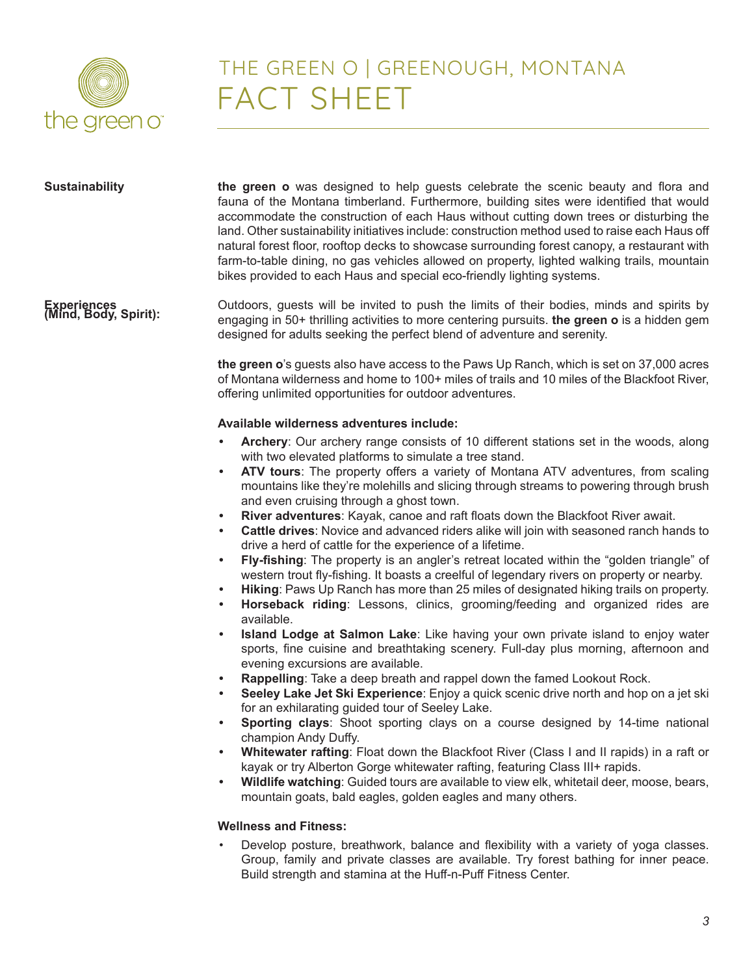

# THE GREEN O | GREENOUGH, MONTANA FACT SHEET

| <b>Sustainability</b>                | the green o was designed to help guests celebrate the scenic beauty and flora and<br>fauna of the Montana timberland. Furthermore, building sites were identified that would<br>accommodate the construction of each Haus without cutting down trees or disturbing the<br>land. Other sustainability initiatives include: construction method used to raise each Haus off<br>natural forest floor, rooftop decks to showcase surrounding forest canopy, a restaurant with<br>farm-to-table dining, no gas vehicles allowed on property, lighted walking trails, mountain<br>bikes provided to each Haus and special eco-friendly lighting systems.                                                                                                                                                                                                                                                                                                                                                                                                                                                                                                                                                                                                                                                                                                                                                                                                                                                                                                                                                                                                                                                                                                                                                                                                                                                                                                                                                       |
|--------------------------------------|----------------------------------------------------------------------------------------------------------------------------------------------------------------------------------------------------------------------------------------------------------------------------------------------------------------------------------------------------------------------------------------------------------------------------------------------------------------------------------------------------------------------------------------------------------------------------------------------------------------------------------------------------------------------------------------------------------------------------------------------------------------------------------------------------------------------------------------------------------------------------------------------------------------------------------------------------------------------------------------------------------------------------------------------------------------------------------------------------------------------------------------------------------------------------------------------------------------------------------------------------------------------------------------------------------------------------------------------------------------------------------------------------------------------------------------------------------------------------------------------------------------------------------------------------------------------------------------------------------------------------------------------------------------------------------------------------------------------------------------------------------------------------------------------------------------------------------------------------------------------------------------------------------------------------------------------------------------------------------------------------------|
| Experiences<br>(Mind, Body, Spirit): | Outdoors, guests will be invited to push the limits of their bodies, minds and spirits by<br>engaging in 50+ thrilling activities to more centering pursuits. the green o is a hidden gem<br>designed for adults seeking the perfect blend of adventure and serenity.                                                                                                                                                                                                                                                                                                                                                                                                                                                                                                                                                                                                                                                                                                                                                                                                                                                                                                                                                                                                                                                                                                                                                                                                                                                                                                                                                                                                                                                                                                                                                                                                                                                                                                                                    |
|                                      | the green o's guests also have access to the Paws Up Ranch, which is set on 37,000 acres<br>of Montana wilderness and home to 100+ miles of trails and 10 miles of the Blackfoot River,<br>offering unlimited opportunities for outdoor adventures.                                                                                                                                                                                                                                                                                                                                                                                                                                                                                                                                                                                                                                                                                                                                                                                                                                                                                                                                                                                                                                                                                                                                                                                                                                                                                                                                                                                                                                                                                                                                                                                                                                                                                                                                                      |
|                                      | Available wilderness adventures include:                                                                                                                                                                                                                                                                                                                                                                                                                                                                                                                                                                                                                                                                                                                                                                                                                                                                                                                                                                                                                                                                                                                                                                                                                                                                                                                                                                                                                                                                                                                                                                                                                                                                                                                                                                                                                                                                                                                                                                 |
|                                      | Archery: Our archery range consists of 10 different stations set in the woods, along<br>with two elevated platforms to simulate a tree stand.<br>ATV tours: The property offers a variety of Montana ATV adventures, from scaling<br>$\bullet$<br>mountains like they're molehills and slicing through streams to powering through brush<br>and even cruising through a ghost town.<br>River adventures: Kayak, canoe and raft floats down the Blackfoot River await.<br>$\bullet$<br>Cattle drives: Novice and advanced riders alike will join with seasoned ranch hands to<br>$\bullet$<br>drive a herd of cattle for the experience of a lifetime.<br>Fly-fishing: The property is an angler's retreat located within the "golden triangle" of<br>$\bullet$<br>western trout fly-fishing. It boasts a creelful of legendary rivers on property or nearby.<br>Hiking: Paws Up Ranch has more than 25 miles of designated hiking trails on property.<br>$\bullet$<br>Horseback riding: Lessons, clinics, grooming/feeding and organized rides are<br>$\bullet$<br>available.<br>Island Lodge at Salmon Lake: Like having your own private island to enjoy water<br>$\bullet$<br>sports, fine cuisine and breathtaking scenery. Full-day plus morning, afternoon and<br>evening excursions are available.<br>Rappelling: Take a deep breath and rappel down the famed Lookout Rock.<br>$\bullet$<br>Seeley Lake Jet Ski Experience: Enjoy a quick scenic drive north and hop on a jet ski<br>for an exhilarating guided tour of Seeley Lake.<br>Sporting clays: Shoot sporting clays on a course designed by 14-time national<br>champion Andy Duffy.<br>Whitewater rafting: Float down the Blackfoot River (Class I and II rapids) in a raft or<br>kayak or try Alberton Gorge whitewater rafting, featuring Class III+ rapids.<br>Wildlife watching: Guided tours are available to view elk, whitetail deer, moose, bears,<br>$\bullet$<br>mountain goats, bald eagles, golden eagles and many others. |
|                                      | <b>Wellness and Fitness:</b>                                                                                                                                                                                                                                                                                                                                                                                                                                                                                                                                                                                                                                                                                                                                                                                                                                                                                                                                                                                                                                                                                                                                                                                                                                                                                                                                                                                                                                                                                                                                                                                                                                                                                                                                                                                                                                                                                                                                                                             |
|                                      | Develop posture, breathwork, balance and flexibility with a variety of yoga classes.<br>Group, family and private classes are available. Try forest bathing for inner peace.<br>Build strength and stamina at the Huff-n-Puff Fitness Center.                                                                                                                                                                                                                                                                                                                                                                                                                                                                                                                                                                                                                                                                                                                                                                                                                                                                                                                                                                                                                                                                                                                                                                                                                                                                                                                                                                                                                                                                                                                                                                                                                                                                                                                                                            |